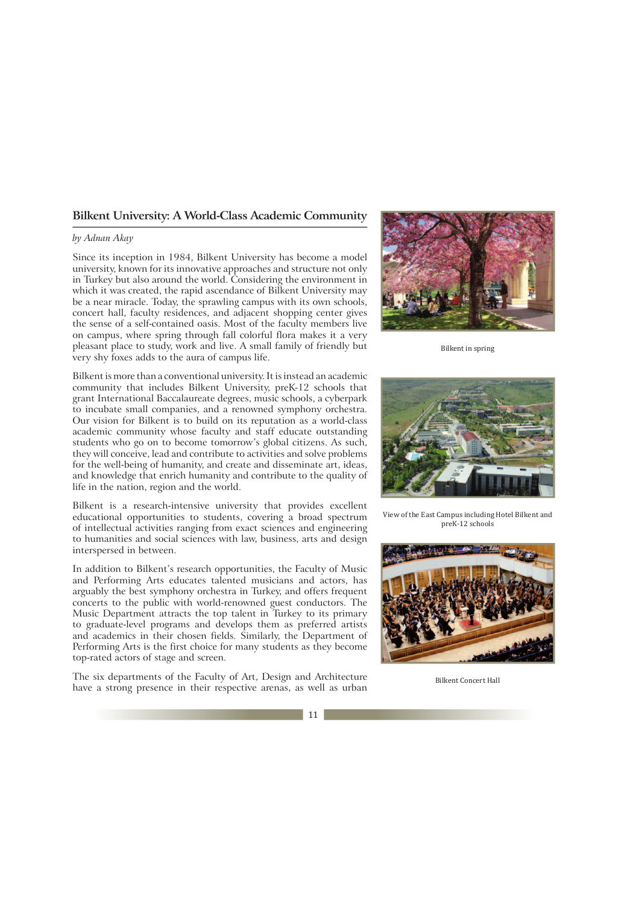## **Bilkent University: A World-Class Academic Community**

## *by Adnan Akay*

Since its inception in 1984, Bilkent University has become a model university, known for its innovative approaches and structure not only in Turkey but also around the world. Considering the environment in which it was created, the rapid ascendance of Bilkent University may be a near miracle. Today, the sprawling campus with its own schools, concert hall, faculty residences, and adjacent shopping center gives the sense of a self-contained oasis. Most of the faculty members live on campus, where spring through fall colorful flora makes it a very pleasant place to study, work and live. A small family of friendly but very shy foxes adds to the aura of campus life.



Bilkent is a research-intensive university that provides excellent educational opportunities to students, covering a broad spectrum of intellectual activities ranging from exact sciences and engineering to humanities and social sciences with law, business, arts and design interspersed in between.

In addition to Bilkent's research opportunities, the Faculty of Music and Performing Arts educates talented musicians and actors, has arguably the best symphony orchestra in Turkey, and offers frequent concerts to the public with world-renowned guest conductors. The Music Department attracts the top talent in Turkey to its primary to graduate-level programs and develops them as preferred artists and academics in their chosen fields. Similarly, the Department of Performing Arts is the first choice for many students as they become top-rated actors of stage and screen.

The six departments of the Faculty of Art, Design and Architecture have a strong presence in their respective arenas, as well as urban



Bilkent in spring



View of the East Campus including Hotel Bilkent and preK-12 schools



Bilkent Concert Hall

11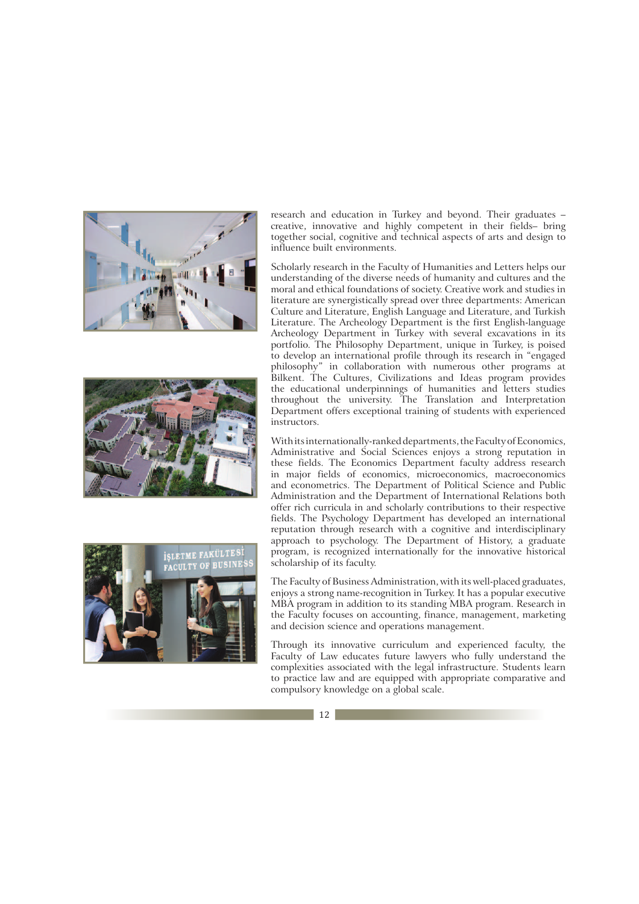





research and education in Turkey and beyond. Their graduates – creative, innovative and highly competent in their fields– bring together social, cognitive and technical aspects of arts and design to influence built environments.

Scholarly research in the Faculty of Humanities and Letters helps our understanding of the diverse needs of humanity and cultures and the moral and ethical foundations of society. Creative work and studies in literature are synergistically spread over three departments: American Culture and Literature, English Language and Literature, and Turkish Literature. The Archeology Department is the first English-language Archeology Department in Turkey with several excavations in its portfolio. The Philosophy Department, unique in Turkey, is poised to develop an international profile through its research in "engaged philosophy" in collaboration with numerous other programs at Bilkent. The Cultures, Civilizations and Ideas program provides the educational underpinnings of humanities and letters studies throughout the university. The Translation and Interpretation Department offers exceptional training of students with experienced instructors.

With its internationally-ranked departments, the Faculty of Economics, Administrative and Social Sciences enjoys a strong reputation in these fields. The Economics Department faculty address research in major fields of economics, microeconomics, macroeconomics and econometrics. The Department of Political Science and Public Administration and the Department of International Relations both offer rich curricula in and scholarly contributions to their respective fields. The Psychology Department has developed an international reputation through research with a cognitive and interdisciplinary approach to psychology. The Department of History, a graduate program, is recognized internationally for the innovative historical scholarship of its faculty.

The Faculty of Business Administration, with its well-placed graduates, enjoys a strong name-recognition in Turkey. It has a popular executive MBA program in addition to its standing MBA program. Research in the Faculty focuses on accounting, finance, management, marketing and decision science and operations management.

Through its innovative curriculum and experienced faculty, the Faculty of Law educates future lawyers who fully understand the complexities associated with the legal infrastructure. Students learn to practice law and are equipped with appropriate comparative and compulsory knowledge on a global scale.

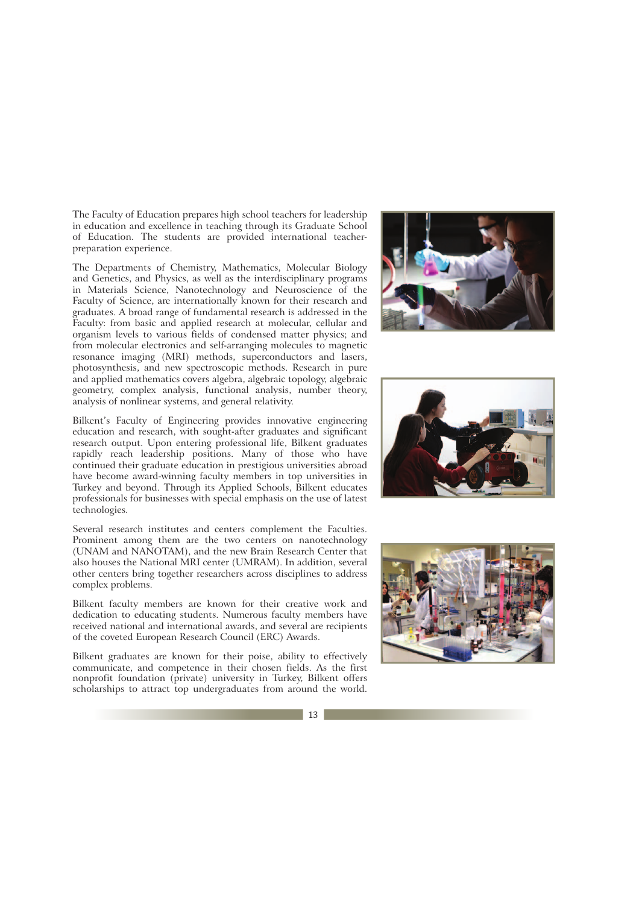The Faculty of Education prepares high school teachers for leadership in education and excellence in teaching through its Graduate School of Education. The students are provided international teacherpreparation experience.

The Departments of Chemistry, Mathematics, Molecular Biology and Genetics, and Physics, as well as the interdisciplinary programs in Materials Science, Nanotechnology and Neuroscience of the Faculty of Science, are internationally known for their research and graduates. A broad range of fundamental research is addressed in the Faculty: from basic and applied research at molecular, cellular and organism levels to various fields of condensed matter physics; and from molecular electronics and self-arranging molecules to magnetic resonance imaging (MRI) methods, superconductors and lasers, photosynthesis, and new spectroscopic methods. Research in pure and applied mathematics covers algebra, algebraic topology, algebraic geometry, complex analysis, functional analysis, number theory, analysis of nonlinear systems, and general relativity.

Bilkent's Faculty of Engineering provides innovative engineering education and research, with sought-after graduates and significant research output. Upon entering professional life, Bilkent graduates rapidly reach leadership positions. Many of those who have continued their graduate education in prestigious universities abroad have become award-winning faculty members in top universities in Turkey and beyond. Through its Applied Schools, Bilkent educates professionals for businesses with special emphasis on the use of latest technologies.

Several research institutes and centers complement the Faculties. Prominent among them are the two centers on nanotechnology (UNAM and NANOTAM), and the new Brain Research Center that also houses the National MRI center (UMRAM). In addition, several other centers bring together researchers across disciplines to address complex problems.

Bilkent faculty members are known for their creative work and dedication to educating students. Numerous faculty members have received national and international awards, and several are recipients of the coveted European Research Council (ERC) Awards.

Bilkent graduates are known for their poise, ability to effectively communicate, and competence in their chosen fields. As the first nonprofit foundation (private) university in Turkey, Bilkent offers scholarships to attract top undergraduates from around the world.







13